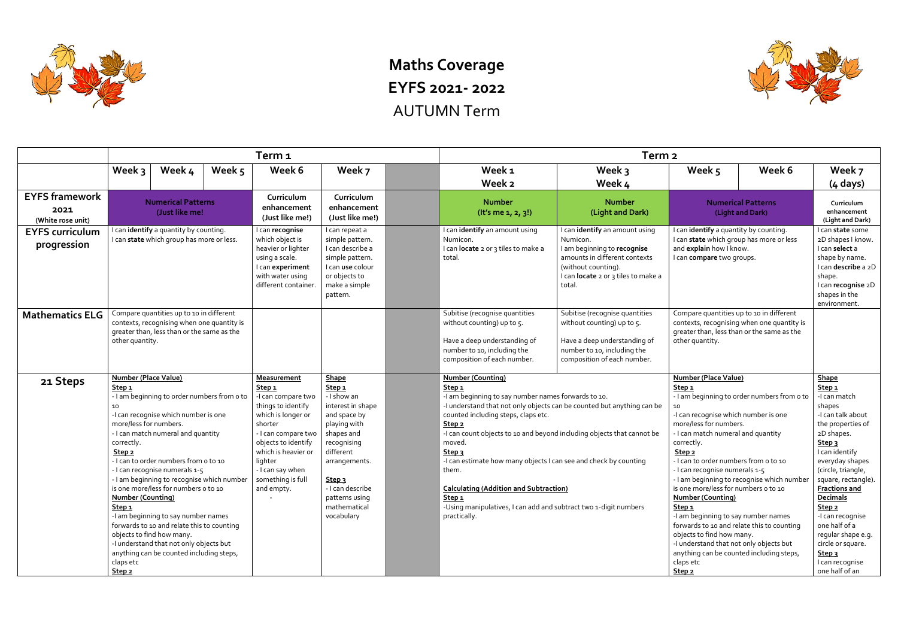

## **Maths Coverage EYFS 2021- 2022** AUTUMN Term

|                                                    |                                                                                                                                                                                                                                     |                                                                                                                                                                                                                                                                                                                                                                                                                                                                      |                                                                                                                                            | Term <sub>1</sub>                                                                                                                                                                                                                                           |                                                                                                                                                                                                                                                                                  | Term <sub>2</sub>                                                                                                                                                                                                                                                                                                                                                                                                                                                                                                                                                                          |                                                                                                                                                            |                                                                                                                                                                                                                                                                                                                                                                                                                                                                                                                                                                                                                  |                                                                                                                                                                   |                                                                                                                                                                                                                                                                                                                                                                                                                               |  |  |
|----------------------------------------------------|-------------------------------------------------------------------------------------------------------------------------------------------------------------------------------------------------------------------------------------|----------------------------------------------------------------------------------------------------------------------------------------------------------------------------------------------------------------------------------------------------------------------------------------------------------------------------------------------------------------------------------------------------------------------------------------------------------------------|--------------------------------------------------------------------------------------------------------------------------------------------|-------------------------------------------------------------------------------------------------------------------------------------------------------------------------------------------------------------------------------------------------------------|----------------------------------------------------------------------------------------------------------------------------------------------------------------------------------------------------------------------------------------------------------------------------------|--------------------------------------------------------------------------------------------------------------------------------------------------------------------------------------------------------------------------------------------------------------------------------------------------------------------------------------------------------------------------------------------------------------------------------------------------------------------------------------------------------------------------------------------------------------------------------------------|------------------------------------------------------------------------------------------------------------------------------------------------------------|------------------------------------------------------------------------------------------------------------------------------------------------------------------------------------------------------------------------------------------------------------------------------------------------------------------------------------------------------------------------------------------------------------------------------------------------------------------------------------------------------------------------------------------------------------------------------------------------------------------|-------------------------------------------------------------------------------------------------------------------------------------------------------------------|-------------------------------------------------------------------------------------------------------------------------------------------------------------------------------------------------------------------------------------------------------------------------------------------------------------------------------------------------------------------------------------------------------------------------------|--|--|
|                                                    | Week 3                                                                                                                                                                                                                              | Week 4                                                                                                                                                                                                                                                                                                                                                                                                                                                               | Week 5                                                                                                                                     | Week 6                                                                                                                                                                                                                                                      | Week 7                                                                                                                                                                                                                                                                           | Week <sub>1</sub><br>Week 2                                                                                                                                                                                                                                                                                                                                                                                                                                                                                                                                                                | Week 3<br>Week 4                                                                                                                                           | Week 5                                                                                                                                                                                                                                                                                                                                                                                                                                                                                                                                                                                                           | Week 6                                                                                                                                                            | Week 7<br>$(4 \text{ days})$                                                                                                                                                                                                                                                                                                                                                                                                  |  |  |
| <b>EYFS framework</b><br>2021<br>(White rose unit) |                                                                                                                                                                                                                                     | <b>Numerical Patterns</b><br>(Just like me!                                                                                                                                                                                                                                                                                                                                                                                                                          |                                                                                                                                            | Curriculum<br>enhancement<br>(Just like me!)                                                                                                                                                                                                                | Curriculum<br>enhancement<br>(Just like me!)                                                                                                                                                                                                                                     | <b>Number</b><br>(It's me 1, 2, 3!)                                                                                                                                                                                                                                                                                                                                                                                                                                                                                                                                                        | <b>Number</b><br>(Light and Dark)                                                                                                                          |                                                                                                                                                                                                                                                                                                                                                                                                                                                                                                                                                                                                                  | <b>Numerical Patterns</b><br>(Light and Dark)                                                                                                                     | Curriculum<br>enhancement<br>(Light and Dark)                                                                                                                                                                                                                                                                                                                                                                                 |  |  |
| <b>EYFS curriculum</b><br>progression              | I can identify a quantity by counting.<br>I can state which group has more or less.                                                                                                                                                 |                                                                                                                                                                                                                                                                                                                                                                                                                                                                      | I can recognise<br>which object is<br>heavier or lighter<br>using a scale.<br>I can experiment<br>with water using<br>different container. | I can repeat a<br>simple pattern.<br>I can describe a<br>simple pattern.<br>I can use colour<br>or objects to<br>make a simple<br>pattern.                                                                                                                  | I can identify an amount using<br>I can identify an amount using<br>Numicon.<br>Numicon.<br>I can locate 2 or 3 tiles to make a<br>I am beginning to recognise<br>amounts in different contexts<br>total<br>(without counting).<br>I can locate 2 or 3 tiles to make a<br>total. |                                                                                                                                                                                                                                                                                                                                                                                                                                                                                                                                                                                            | I can identify a quantity by counting.<br>I can state which group has more or less<br>and explain how I know.<br>I can compare two groups.                 |                                                                                                                                                                                                                                                                                                                                                                                                                                                                                                                                                                                                                  | I can state some<br>2D shapes I know.<br>I can select a<br>shape by name.<br>I can describe a 2D<br>shape.<br>I can recognise 2D<br>shapes in the<br>environment. |                                                                                                                                                                                                                                                                                                                                                                                                                               |  |  |
| <b>Mathematics ELG</b>                             | other quantity.                                                                                                                                                                                                                     | Compare quantities up to 10 in different<br>contexts, recognising when one quantity is<br>greater than, less than or the same as the                                                                                                                                                                                                                                                                                                                                 |                                                                                                                                            |                                                                                                                                                                                                                                                             |                                                                                                                                                                                                                                                                                  | Subitise (recognise quantities<br>without counting) up to 5.<br>Have a deep understanding of<br>number to 10, including the<br>composition of each number.                                                                                                                                                                                                                                                                                                                                                                                                                                 | Subitise (recognise quantities<br>without counting) up to 5.<br>Have a deep understanding of<br>number to 10, including the<br>composition of each number. | Compare quantities up to 10 in different<br>greater than, less than or the same as the<br>other quantity.                                                                                                                                                                                                                                                                                                                                                                                                                                                                                                        | contexts, recognising when one quantity is                                                                                                                        |                                                                                                                                                                                                                                                                                                                                                                                                                               |  |  |
| 21 Steps                                           | <b>Number (Place Value)</b><br>Step <sub>1</sub><br>10<br>more/less for numbers.<br>correctly.<br>Step <sub>2</sub><br><b>Number (Counting)</b><br>Step <sub>1</sub><br>objects to find how many.<br>claps etc<br>Step <sub>2</sub> | - I am beginning to order numbers from o to<br>-I can recognise which number is one<br>- I can match numeral and quantity<br>I can to order numbers from o to 10<br>- I can recognise numerals 1-5<br>- I am beginning to recognise which number<br>is one more/less for numbers o to 10<br>-I am beginning to say number names<br>forwards to 10 and relate this to counting<br>-I understand that not only objects but<br>anything can be counted including steps, |                                                                                                                                            | <b>Measurement</b><br>Step <sub>1</sub><br>-I can compare two<br>things to identify<br>which is longer or<br>shorter<br>- I can compare two<br>objects to identify<br>which is heavier or<br>lighter<br>- I can say when<br>something is full<br>and empty. | <b>Shape</b><br>Step <sub>1</sub><br>- I show an<br>interest in shape<br>and space by<br>playing with<br>shapes and<br>recognising<br>different<br>arrangements.<br>Step <sub>3</sub><br>- I can describe<br>patterns using<br>mathematical<br>vocabulary                        | <b>Number (Counting)</b><br>Step <sub>1</sub><br>-I am beginning to say number names forwards to 10.<br>-I understand that not only objects can be counted but anything can be<br>counted including steps, claps etc.<br>Step <sub>2</sub><br>-I can count objects to 10 and beyond including objects that cannot be<br>moved.<br>Step <sub>3</sub><br>-I can estimate how many objects I can see and check by counting<br>them.<br><b>Calculating (Addition and Subtraction)</b><br>Step <sub>1</sub><br>-Using manipulatives, I can add and subtract two 1-digit numbers<br>practically. |                                                                                                                                                            | <b>Number (Place Value)</b><br>Step <sub>1</sub><br>10<br>-I can recognise which number is one<br>more/less for numbers.<br>- I can match numeral and quantity<br>correctly.<br>Step <sub>2</sub><br>- I can to order numbers from o to 10<br>- I can recognise numerals 1-5<br>is one more/less for numbers o to 10<br><b>Number (Counting)</b><br>Step <sub>1</sub><br>-I am beginning to say number names<br>forwards to 10 and relate this to counting<br>objects to find how many.<br>-I understand that not only objects but<br>anything can be counted including steps,<br>claps etc<br>Step <sub>2</sub> | - I am beginning to order numbers from o to<br>- I am beginning to recognise which number                                                                         | <b>Shape</b><br>Step <sub>1</sub><br>-I can match<br>shapes<br>-I can talk about<br>the properties of<br>2D shapes.<br>Step <sub>3</sub><br>I can identify<br>everyday shapes<br>(circle, triangle,<br>square, rectangle).<br><b>Fractions and</b><br>Decimals<br>Step <sub>2</sub><br>-I can recognise<br>one half of a<br>regular shape e.g.<br>circle or square.<br>Step <sub>3</sub><br>I can recognise<br>one half of an |  |  |

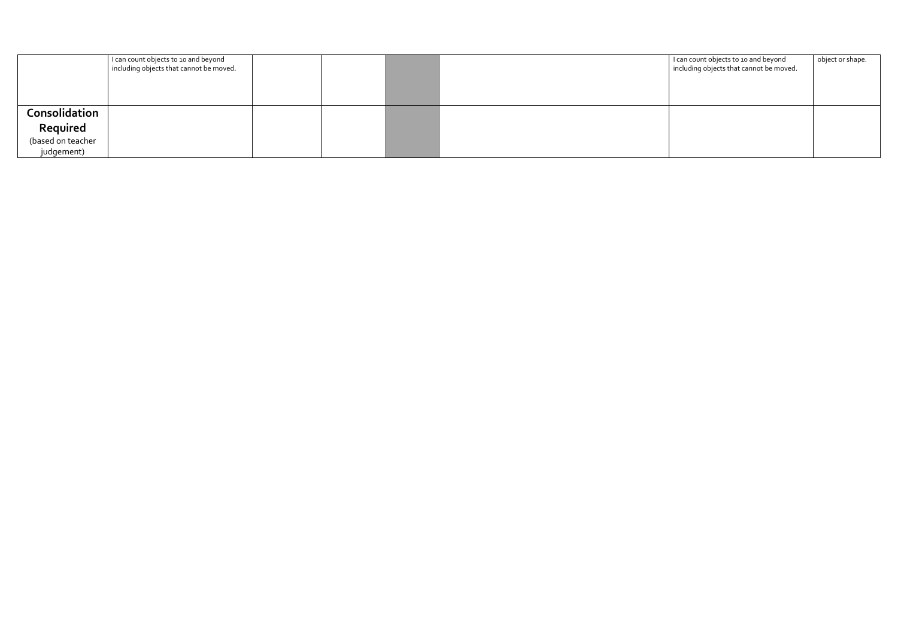|                   | I can count objects to 10 and beyond<br>including objects that cannot be moved. |  | I can count objects to 10 and beyond<br>I including objects that cannot be moved. | object or shape. |
|-------------------|---------------------------------------------------------------------------------|--|-----------------------------------------------------------------------------------|------------------|
| Consolidation     |                                                                                 |  |                                                                                   |                  |
| Required          |                                                                                 |  |                                                                                   |                  |
| (based on teacher |                                                                                 |  |                                                                                   |                  |
| judgement)        |                                                                                 |  |                                                                                   |                  |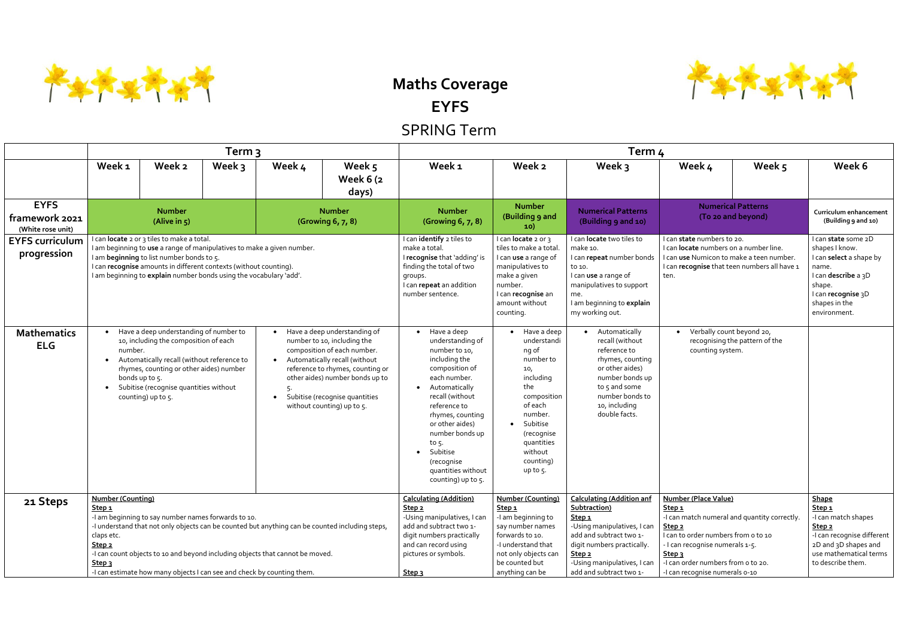

## **Maths Coverage EYFS**

## SPRING Term

|                                                    | Term <sub>3</sub>                                                                                                                                                                                                                                                                                                                                                                                                          |                                                                                                                                                                                                                                                                                                              |                                                                                                                                                                                                                                                                                     |                                                                                                                                                                                                                |                                                                                                                                                                                                                                                                                                                         | Term 4                                                                                                                                                                                                                                       |                                                                                                                                                                                                                                                                                            |                                                                                                                                                                                                |                                                                                                                                                                                 |                                                 |                                                                                                                                                                   |  |  |  |
|----------------------------------------------------|----------------------------------------------------------------------------------------------------------------------------------------------------------------------------------------------------------------------------------------------------------------------------------------------------------------------------------------------------------------------------------------------------------------------------|--------------------------------------------------------------------------------------------------------------------------------------------------------------------------------------------------------------------------------------------------------------------------------------------------------------|-------------------------------------------------------------------------------------------------------------------------------------------------------------------------------------------------------------------------------------------------------------------------------------|----------------------------------------------------------------------------------------------------------------------------------------------------------------------------------------------------------------|-------------------------------------------------------------------------------------------------------------------------------------------------------------------------------------------------------------------------------------------------------------------------------------------------------------------------|----------------------------------------------------------------------------------------------------------------------------------------------------------------------------------------------------------------------------------------------|--------------------------------------------------------------------------------------------------------------------------------------------------------------------------------------------------------------------------------------------------------------------------------------------|------------------------------------------------------------------------------------------------------------------------------------------------------------------------------------------------|---------------------------------------------------------------------------------------------------------------------------------------------------------------------------------|-------------------------------------------------|-------------------------------------------------------------------------------------------------------------------------------------------------------------------|--|--|--|
|                                                    | Week <sub>1</sub>                                                                                                                                                                                                                                                                                                                                                                                                          | Week 2                                                                                                                                                                                                                                                                                                       | Week 3                                                                                                                                                                                                                                                                              | Week 4                                                                                                                                                                                                         | Week 5<br>Week 6 (2)<br>days)                                                                                                                                                                                                                                                                                           | Week <sub>1</sub>                                                                                                                                                                                                                            | Week 2                                                                                                                                                                                                                                                                                     | Week 3                                                                                                                                                                                         | Week 4                                                                                                                                                                          | Week 5                                          | Week 6                                                                                                                                                            |  |  |  |
| <b>EYFS</b><br>framework 2021<br>(White rose unit) |                                                                                                                                                                                                                                                                                                                                                                                                                            | <b>Number</b><br>(Alive in 5)                                                                                                                                                                                                                                                                                |                                                                                                                                                                                                                                                                                     |                                                                                                                                                                                                                | <b>Number</b><br>(Growing 6, 7, 8)                                                                                                                                                                                                                                                                                      | <b>Number</b><br>(Growing 6, 7, 8)                                                                                                                                                                                                           | <b>Number</b><br>(Building 9 and<br>10)                                                                                                                                                                                                                                                    | <b>Numerical Patterns</b><br>(Building 9 and 10)                                                                                                                                               |                                                                                                                                                                                 | <b>Numerical Patterns</b><br>(To 20 and beyond) | Curriculum enhancement<br>(Building 9 and 10)                                                                                                                     |  |  |  |
| <b>EYFS curriculum</b><br>progression              |                                                                                                                                                                                                                                                                                                                                                                                                                            | I can locate 2 or 3 tiles to make a total.<br>I am beginning to use a range of manipulatives to make a given number.<br>I am beginning to list number bonds to 5.<br>I can recognise amounts in different contexts (without counting).<br>I am beginning to explain number bonds using the vocabulary 'add'. |                                                                                                                                                                                                                                                                                     |                                                                                                                                                                                                                |                                                                                                                                                                                                                                                                                                                         | I can identify 2 tiles to<br>make a total.<br>I recognise that 'adding' is<br>finding the total of two<br>groups.<br>I can repeat an addition<br>number sentence.                                                                            | I can <b>locate</b> 2 or 3<br>tiles to make a total.<br>I can use a range of<br>manipulatives to<br>make a given<br>number.<br>I can recognise an<br>amount without<br>counting.                                                                                                           | I can <b>locate</b> two tiles to<br>make 10.<br>I can repeat number bonds<br>to 10.<br>I can use a range of<br>manipulatives to support<br>me.<br>I am beginning to explain<br>my working out. | I can state numbers to 20.<br>I can <b>locate</b> numbers on a number line.<br>I can use Numicon to make a teen number.<br>I can recognise that teen numbers all have 1<br>ten. |                                                 | I can state some 2D<br>shapes I know.<br>I can select a shape by<br>name.<br>I can describe a 3D<br>shape.<br>I can recognise 3D<br>shapes in the<br>environment. |  |  |  |
| <b>Mathematics</b><br><b>ELG</b>                   | Have a deep understanding of number to<br>$\bullet$<br>10, including the composition of each<br>number.<br>Automatically recall (without reference to<br>rhymes, counting or other aides) number<br>bonds up to 5.<br>Subitise (recognise quantities without<br>$\bullet$<br>counting) up to 5.                                                                                                                            |                                                                                                                                                                                                                                                                                                              | • Have a deep understanding of<br>number to 10, including the<br>composition of each number.<br>Automatically recall (without<br>$\bullet$<br>reference to rhymes, counting or<br>other aides) number bonds up to<br>• Subitise (recognise quantities<br>without counting) up to 5. |                                                                                                                                                                                                                | $\bullet$ Have a deep<br>understanding of<br>number to 10,<br>including the<br>composition of<br>each number.<br>Automatically<br>recall (without<br>reference to<br>rhymes, counting<br>or other aides)<br>number bonds up<br>to 5.<br>Subitise<br>$\bullet$<br>(recognise<br>quantities without<br>counting) up to 5. | • Have a deep<br>understandi<br>ng of<br>number to<br>10,<br>including<br>the<br>composition<br>of each<br>number.<br>Subitise<br>$\bullet$<br>(recognise<br>quantities<br>without<br>counting)<br>up to 5.                                  | • Automatically<br>recall (without<br>reference to<br>rhymes, counting<br>or other aides)<br>number bonds up<br>to 5 and some<br>number bonds to<br>10, including<br>double facts.                                                                                                         | Verbally count beyond 20,<br>recognising the pattern of the<br>counting system.                                                                                                                |                                                                                                                                                                                 |                                                 |                                                                                                                                                                   |  |  |  |
| 21 Steps                                           | <b>Number (Counting)</b><br>Step <sub>1</sub><br>-I am beginning to say number names forwards to 10.<br>-I understand that not only objects can be counted but anything can be counted including steps,<br>claps etc.<br>Step <sub>2</sub><br>-I can count objects to 10 and beyond including objects that cannot be moved.<br>Step <sub>3</sub><br>-I can estimate how many objects I can see and check by counting them. |                                                                                                                                                                                                                                                                                                              |                                                                                                                                                                                                                                                                                     | <b>Calculating (Addition)</b><br>Step <sub>2</sub><br>-Using manipulatives, I can<br>add and subtract two 1-<br>digit numbers practically<br>and can record using<br>pictures or symbols.<br>Step <sub>3</sub> | <b>Number (Counting)</b><br>Step <sub>1</sub><br>-I am beginning to<br>say number names<br>forwards to 10.<br>-I understand that<br>not only objects can<br>be counted but<br>anything can be                                                                                                                           | <b>Calculating (Addition anf</b><br>Subtraction)<br>Step <sub>1</sub><br>-Using manipulatives, I can<br>add and subtract two 1-<br>digit numbers practically.<br>Step <sub>2</sub><br>-Using manipulatives, I can<br>add and subtract two 1- | <b>Number (Place Value)</b><br>Step <sub>1</sub><br>-I can match numeral and quantity correctly.<br>Step <sub>2</sub><br>I can to order numbers from o to 10<br>I can recognise numerals 1-5.<br>Step <sub>3</sub><br>-I can order numbers from o to 20.<br>-I can recognise numerals o-10 |                                                                                                                                                                                                | Shape<br>Step <sub>1</sub><br>-I can match shapes<br>Step <sub>2</sub><br>-I can recognise different<br>2D and 3D shapes and<br>use mathematical terms<br>to describe them.     |                                                 |                                                                                                                                                                   |  |  |  |

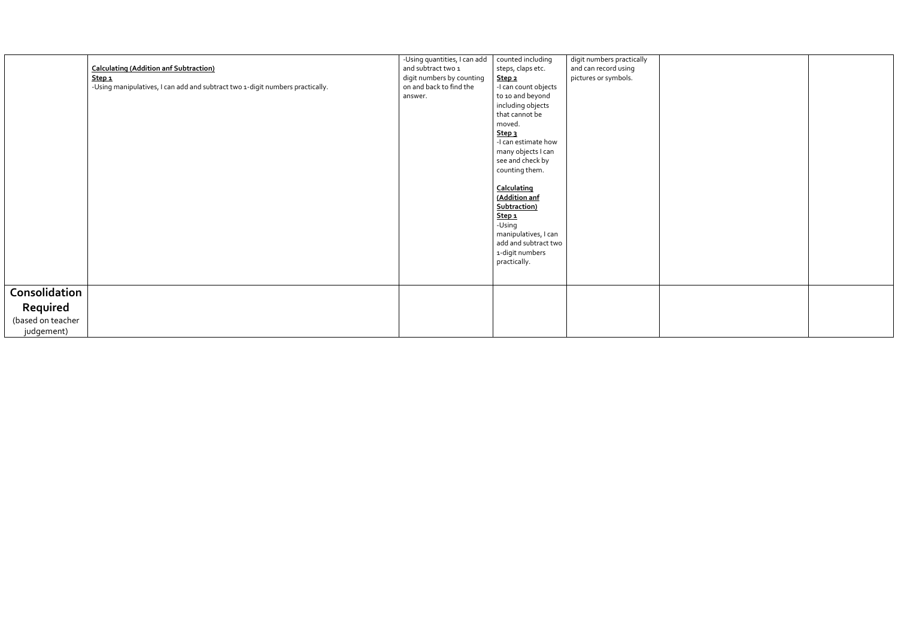|                                                                               | -Using quantities, I can add | counted including    | digit numbers practically |  |
|-------------------------------------------------------------------------------|------------------------------|----------------------|---------------------------|--|
| <b>Calculating (Addition anf Subtraction)</b>                                 | and subtract two 1           | steps, claps etc.    | and can record using      |  |
| Step 1                                                                        | digit numbers by counting    | Step <sub>2</sub>    | pictures or symbols.      |  |
| -Using manipulatives, I can add and subtract two 1-digit numbers practically. | on and back to find the      | -I can count objects |                           |  |
|                                                                               | answer.                      | to 10 and beyond     |                           |  |
|                                                                               |                              | including objects    |                           |  |
|                                                                               |                              | that cannot be       |                           |  |
|                                                                               |                              | moved.               |                           |  |
|                                                                               |                              | Step <sub>3</sub>    |                           |  |
|                                                                               |                              | -I can estimate how  |                           |  |
|                                                                               |                              | many objects I can   |                           |  |
|                                                                               |                              | see and check by     |                           |  |
|                                                                               |                              | counting them.       |                           |  |
|                                                                               |                              |                      |                           |  |
|                                                                               |                              | Calculating          |                           |  |
|                                                                               |                              | (Addition anf        |                           |  |
|                                                                               |                              | Subtraction)         |                           |  |
|                                                                               |                              | Step <sub>1</sub>    |                           |  |
|                                                                               |                              | -Using               |                           |  |
|                                                                               |                              | manipulatives, I can |                           |  |
|                                                                               |                              | add and subtract two |                           |  |
|                                                                               |                              | 1-digit numbers      |                           |  |
|                                                                               |                              | practically.         |                           |  |
|                                                                               |                              |                      |                           |  |
|                                                                               |                              |                      |                           |  |
| Consolidation                                                                 |                              |                      |                           |  |
| Required                                                                      |                              |                      |                           |  |
| (based on teacher                                                             |                              |                      |                           |  |
| judgement)                                                                    |                              |                      |                           |  |
|                                                                               |                              |                      |                           |  |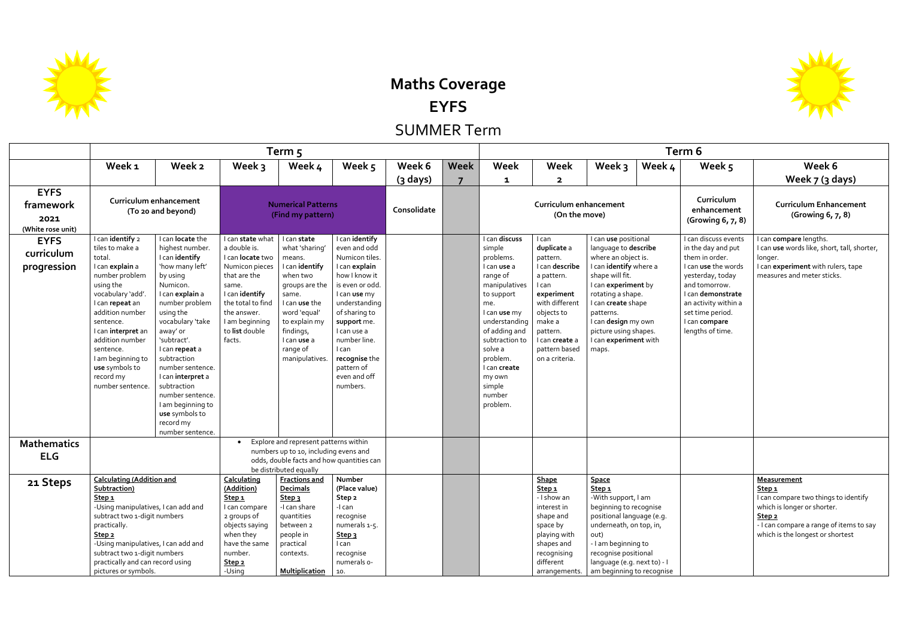**Maths Coverage EYFS** SUMMER Term

**Term 5 Term 6 Week 1 Week 2 Week 3 Week 4 Week 5 Week 6 (3 days) Week 7 Week 1 Week 2 Week 3 Week 4 Week 5 Week 6 EYFS framework 2021 (White rose unit) Curriculum enhancement (To 20 and beyond) Numerical Patterns (Find my pattern) Consolidate Curriculum enhancement (On the move) EYFS curriculum progression** I can **identify** 2 tiles to make a total. I can **explain** a number problem using the vocabulary 'add'. I can **repeat** an addition number sentence. I can **interpret** an addition number sentence. I am beginning to **use** symbols to record my number sentence. I can **locate** the highest number. I can **identify** 'how many left' by using Numicon. I can **explain** a number problem using the vocabulary 'take away' or 'subtract'. I can **repeat** a subtraction number sentence. I can **interpret** a subtraction number sentence. I am beginning to **use** symbols to record my number sentence. I can **state** what a double is. I can **locate** two Numicon pieces that are the same. I can **identify** the total to find the answer. I am beginning to **list** double facts. I can **state** what 'sharing' means. I can **identify** when two groups are the same. I can **use** the word 'equal' to explain my findings, I can **use** a range of manipulatives. I can **identify** even and odd Numicon tiles. I can **explain** how I know it is even or odd. I can **use** my understanding of sharing to **support** me. I can use a number line. I can **recognise** the pattern of even and off numbers. I can **discuss** simple problems. I can **use** a range of manipulatives to support me. I can **use** my understanding of adding and subtraction to solve a problem. I can **create** my own simple number problem. I can **duplicate** a pattern. I can **describe** a pattern. I can **experiment** with different objects to make a pattern. I can **create** a pattern based on a criteria. I can **use** positional language to **describe** where an object is. I can **identify** where a shape will fit. I can **experiment** by rotating a shape. I can **create** shape patterns. I can **design** my own picture using shapes. I can **experiment** with maps. **Mathematics ELG** Explore and represent patterns within numbers up to 10, including evens and odds, double facts and how quantities can be distributed equally **21 Steps Calculating (Addition and Subtraction) Step 1** -Using manipulatives, I can add and subtract two 1-digit numbers practically. **Step 2** -Using manipulatives, I can add and subtract two 1-digit numbers practically and can record using **Calculating (Addition) Step 1** I can compare 2 groups of objects saying when they have the same number. **Step 2 Fractions and Decimals Step 3** -I can share quantities between 2 people in practical contexts. **Number (Place value) Step 2** -I can recognise numerals 1-5. **Step 3** I can recognise numerals 0- **Shape Step 1** - I show an interest in shape and space by playing with shapes and recognising different **Space Step 1** -With support, I am beginning to recognise positional language (e.g. underneath, on top, in, out) - I am beginning to recognise positional language (e.g. next to) - I



| rm 6                                                                                                                                                                                                                           |                                                                                                                                                                                                                |  |  |  |  |  |  |  |
|--------------------------------------------------------------------------------------------------------------------------------------------------------------------------------------------------------------------------------|----------------------------------------------------------------------------------------------------------------------------------------------------------------------------------------------------------------|--|--|--|--|--|--|--|
| Week 5                                                                                                                                                                                                                         | Week 6                                                                                                                                                                                                         |  |  |  |  |  |  |  |
|                                                                                                                                                                                                                                | Week 7 (3 days)                                                                                                                                                                                                |  |  |  |  |  |  |  |
| Curriculum<br>enhancement<br>(Growing 6, 7, 8)                                                                                                                                                                                 | <b>Curriculum Enhancement</b><br>(Growing 6, 7, 8)                                                                                                                                                             |  |  |  |  |  |  |  |
| I can discuss events<br>in the day and put<br>them in order.<br>I can use the words<br>yesterday, today<br>and tomorrow.<br>I can demonstrate<br>an activity within a<br>set time period.<br>I can compare<br>lengths of time. | I can compare lengths.<br>I can use words like, short, tall, shorter,<br>longer.<br>I can experiment with rulers, tape<br>measures and meter sticks.                                                           |  |  |  |  |  |  |  |
|                                                                                                                                                                                                                                |                                                                                                                                                                                                                |  |  |  |  |  |  |  |
|                                                                                                                                                                                                                                | <u>Measuremenτ</u><br><u>Step 1</u><br>I can compare two things to identify<br>which is longer or shorter.<br>Step <sub>2</sub><br>- I can compare a range of items to say<br>which is the longest or shortest |  |  |  |  |  |  |  |



pictures or symbols.

-Using

**Multiplication** 

10.

arrangements.

am beginning to recognise